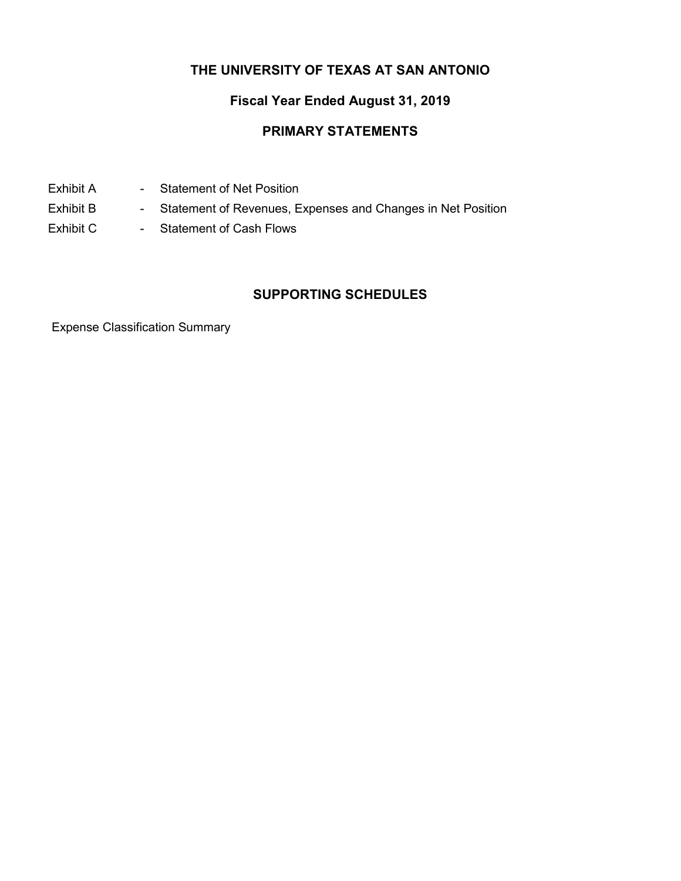## **THE UNIVERSITY OF TEXAS AT SAN ANTONIO**

## **Fiscal Year Ended August 31, 2019**

## **PRIMARY STATEMENTS**

- Exhibit A Statement of Net Position
- Exhibit B Statement of Revenues, Expenses and Changes in Net Position
- Exhibit C Statement of Cash Flows

## **SUPPORTING SCHEDULES**

Expense Classification Summary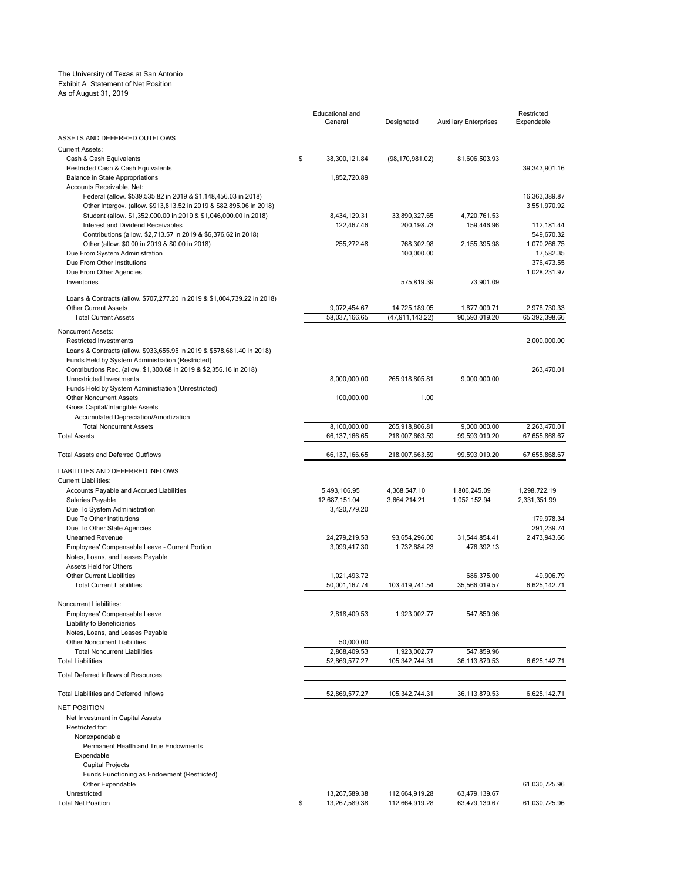#### The University of Texas at San Antonio Exhibit A Statement of Net Position

#### As of August 31, 2019

|                                                                                                                  | Educational and<br>General    | Designated                    | <b>Auxiliary Enterprises</b> | Restricted<br>Expendable   |
|------------------------------------------------------------------------------------------------------------------|-------------------------------|-------------------------------|------------------------------|----------------------------|
| ASSETS AND DEFERRED OUTFLOWS                                                                                     |                               |                               |                              |                            |
| <b>Current Assets:</b>                                                                                           |                               |                               |                              |                            |
| Cash & Cash Equivalents<br>Restricted Cash & Cash Equivalents                                                    | \$<br>38,300,121.84           | (98, 170, 981.02)             | 81,606,503.93                | 39,343,901.16              |
| <b>Balance in State Appropriations</b>                                                                           | 1,852,720.89                  |                               |                              |                            |
| Accounts Receivable, Net:                                                                                        |                               |                               |                              |                            |
| Federal (allow. \$539,535.82 in 2019 & \$1,148,456.03 in 2018)                                                   |                               |                               |                              | 16,363,389.87              |
| Other Intergov. (allow. \$913,813.52 in 2019 & \$82,895.06 in 2018)                                              |                               |                               |                              | 3,551,970.92               |
| Student (allow. \$1,352,000.00 in 2019 & \$1,046,000.00 in 2018)                                                 | 8,434,129.31                  | 33,890,327.65                 | 4,720,761.53                 |                            |
| Interest and Dividend Receivables                                                                                | 122,467.46                    | 200, 198.73                   | 159,446.96                   | 112,181.44                 |
| Contributions (allow. \$2,713.57 in 2019 & \$6,376.62 in 2018)<br>Other (allow. \$0.00 in 2019 & \$0.00 in 2018) | 255,272.48                    | 768,302.98                    | 2,155,395.98                 | 549,670.32<br>1,070,266.75 |
| Due From System Administration                                                                                   |                               | 100,000.00                    |                              | 17,582.35                  |
| Due From Other Institutions                                                                                      |                               |                               |                              | 376,473.55                 |
| Due From Other Agencies                                                                                          |                               |                               |                              | 1,028,231.97               |
| Inventories                                                                                                      |                               | 575,819.39                    | 73,901.09                    |                            |
| Loans & Contracts (allow. \$707,277.20 in 2019 & \$1,004,739.22 in 2018)                                         |                               |                               |                              |                            |
| <b>Other Current Assets</b>                                                                                      | 9,072,454.67                  | 14,725,189.05                 | 1,877,009.71                 | 2,978,730.33               |
| <b>Total Current Assets</b>                                                                                      | 58,037,166.65                 | (47,911,143.22)               | 90,593,019.20                | 65,392,398.66              |
| Noncurrent Assets:                                                                                               |                               |                               |                              |                            |
| <b>Restricted Investments</b>                                                                                    |                               |                               |                              | 2,000,000.00               |
| Loans & Contracts (allow. \$933,655.95 in 2019 & \$578,681.40 in 2018)                                           |                               |                               |                              |                            |
| Funds Held by System Administration (Restricted)                                                                 |                               |                               |                              |                            |
| Contributions Rec. (allow. \$1,300.68 in 2019 & \$2,356.16 in 2018)                                              |                               |                               |                              | 263,470.01                 |
| Unrestricted Investments                                                                                         | 8,000,000.00                  | 265,918,805.81                | 9,000,000.00                 |                            |
| Funds Held by System Administration (Unrestricted)<br><b>Other Noncurrent Assets</b>                             |                               | 1.00                          |                              |                            |
| Gross Capital/Intangible Assets                                                                                  | 100,000.00                    |                               |                              |                            |
| Accumulated Depreciation/Amortization                                                                            |                               |                               |                              |                            |
| <b>Total Noncurrent Assets</b>                                                                                   | 8,100,000.00                  | 265,918,806.81                | 9,000,000.00                 | 2,263,470.01               |
| <b>Total Assets</b>                                                                                              | 66, 137, 166.65               | 218,007,663.59                | 99,593,019.20                | 67,655,868.67              |
| <b>Total Assets and Deferred Outflows</b>                                                                        | 66, 137, 166. 65              | 218,007,663.59                | 99,593,019.20                | 67,655,868.67              |
| LIABILITIES AND DEFERRED INFLOWS                                                                                 |                               |                               |                              |                            |
| <b>Current Liabilities:</b>                                                                                      |                               |                               |                              |                            |
| Accounts Payable and Accrued Liabilities                                                                         | 5,493,106.95                  | 4,368,547.10                  | 1,806,245.09                 | 1,298,722.19               |
| Salaries Payable                                                                                                 | 12,687,151.04                 | 3,664,214.21                  | 1,052,152.94                 | 2,331,351.99               |
| Due To System Administration                                                                                     | 3,420,779.20                  |                               |                              |                            |
| Due To Other Institutions                                                                                        |                               |                               |                              | 179,978.34                 |
| Due To Other State Agencies                                                                                      |                               |                               |                              | 291,239.74                 |
| Unearned Revenue<br>Employees' Compensable Leave - Current Portion                                               | 24,279,219.53<br>3,099,417.30 | 93,654,296.00<br>1,732,684.23 | 31,544,854.41<br>476,392.13  | 2,473,943.66               |
| Notes, Loans, and Leases Payable                                                                                 |                               |                               |                              |                            |
| Assets Held for Others                                                                                           |                               |                               |                              |                            |
| <b>Other Current Liabilities</b>                                                                                 | 1,021,493.72                  |                               | 686,375.00                   | 49,906.79                  |
| <b>Total Current Liabilities</b>                                                                                 | 50,001,167.74                 | 103,419,741.54                | 35,566,019.57                | 6.625.142.71               |
| Noncurrent Liabilities:                                                                                          |                               |                               |                              |                            |
| Employees' Compensable Leave                                                                                     | 2,818,409.53                  | 1,923,002.77                  | 547,859.96                   |                            |
| Liability to Beneficiaries                                                                                       |                               |                               |                              |                            |
| Notes, Loans, and Leases Payable                                                                                 |                               |                               |                              |                            |
| <b>Other Noncurrent Liabilities</b>                                                                              | 50,000.00                     |                               |                              |                            |
| <b>Total Noncurrent Liabilities</b>                                                                              | 2,868,409.53                  | 1,923,002.77                  | 547,859.96                   |                            |
| <b>Total Liabilities</b>                                                                                         | 52,869,577.27                 | 105,342,744.31                | 36,113,879.53                | 6,625,142.71               |
| Total Deferred Inflows of Resources                                                                              |                               |                               |                              |                            |
| <b>Total Liabilities and Deferred Inflows</b>                                                                    | 52,869,577.27                 | 105,342,744.31                | 36,113,879.53                | 6,625,142.71               |
| NET POSITION                                                                                                     |                               |                               |                              |                            |
| Net Investment in Capital Assets<br>Restricted for:                                                              |                               |                               |                              |                            |
| Nonexpendable                                                                                                    |                               |                               |                              |                            |
| Permanent Health and True Endowments                                                                             |                               |                               |                              |                            |
| Expendable                                                                                                       |                               |                               |                              |                            |
| <b>Capital Projects</b>                                                                                          |                               |                               |                              |                            |
| Funds Functioning as Endowment (Restricted)                                                                      |                               |                               |                              |                            |
| Other Expendable                                                                                                 |                               |                               |                              | 61,030,725.96              |
| Unrestricted                                                                                                     | 13,267,589.38                 | 112,664,919.28                | 63,479,139.67                |                            |
| <b>Total Net Position</b>                                                                                        | \$<br>13,267,589.38           | 112,664,919.28                | 63,479,139.67                | 61,030,725.96              |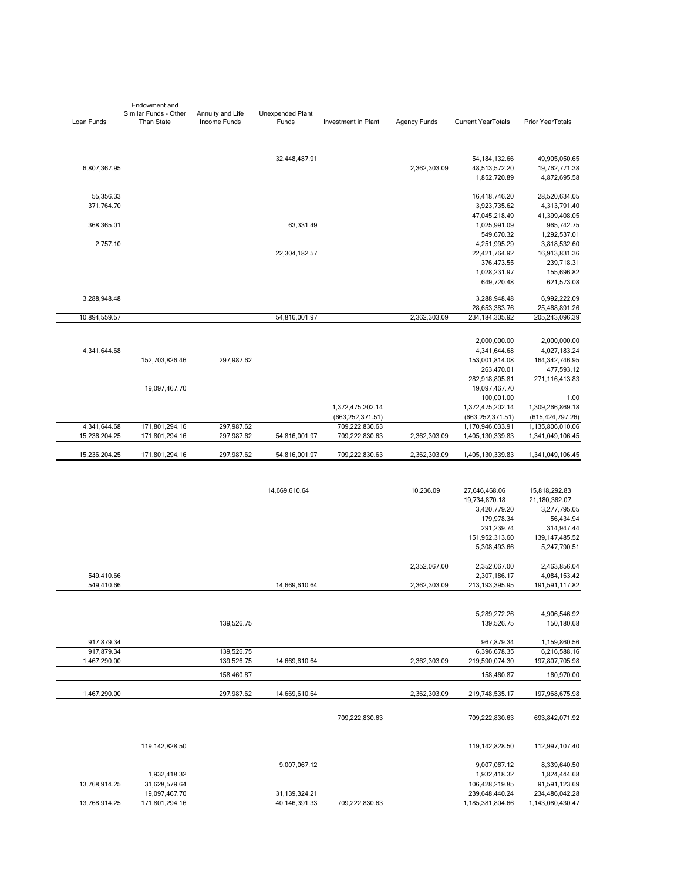|                          | Endowment and                              |                                  |                                |                     |                     |                                    |                                    |
|--------------------------|--------------------------------------------|----------------------------------|--------------------------------|---------------------|---------------------|------------------------------------|------------------------------------|
| Loan Funds               | Similar Funds - Other<br><b>Than State</b> | Annuity and Life<br>Income Funds | Unexpended Plant<br>Funds      | Investment in Plant | <b>Agency Funds</b> | <b>Current YearTotals</b>          | Prior YearTotals                   |
|                          |                                            |                                  |                                |                     |                     |                                    |                                    |
|                          |                                            |                                  | 32,448,487.91                  |                     |                     | 54, 184, 132.66                    | 49,905,050.65                      |
| 6,807,367.95             |                                            |                                  |                                |                     | 2,362,303.09        | 48,513,572.20                      | 19,762,771.38                      |
|                          |                                            |                                  |                                |                     |                     | 1,852,720.89                       | 4,872,695.58                       |
| 55,356.33                |                                            |                                  |                                |                     |                     | 16,418,746.20                      | 28,520,634.05                      |
| 371,764.70               |                                            |                                  |                                |                     |                     | 3,923,735.62                       | 4,313,791.40                       |
|                          |                                            |                                  |                                |                     |                     | 47,045,218.49                      | 41,399,408.05                      |
| 368,365.01               |                                            |                                  | 63,331.49                      |                     |                     | 1,025,991.09                       | 965,742.75                         |
|                          |                                            |                                  |                                |                     |                     | 549,670.32                         | 1,292,537.01                       |
| 2,757.10                 |                                            |                                  |                                |                     |                     | 4,251,995.29                       | 3,818,532.60                       |
|                          |                                            |                                  | 22,304,182.57                  |                     |                     | 22,421,764.92                      | 16,913,831.36                      |
|                          |                                            |                                  |                                |                     |                     | 376,473.55                         | 239,718.31                         |
|                          |                                            |                                  |                                |                     |                     | 1,028,231.97                       | 155,696.82                         |
|                          |                                            |                                  |                                |                     |                     | 649,720.48                         | 621,573.08                         |
| 3,288,948.48             |                                            |                                  |                                |                     |                     | 3,288,948.48<br>28,653,383.76      | 6,992,222.09<br>25,468,891.26      |
| 10,894,559.57            |                                            |                                  | 54,816,001.97                  |                     | 2,362,303.09        | 234, 184, 305. 92                  | 205,243,096.39                     |
|                          |                                            |                                  |                                |                     |                     |                                    |                                    |
|                          |                                            |                                  |                                |                     |                     | 2,000,000.00                       | 2,000,000.00                       |
| 4,341,644.68             |                                            |                                  |                                |                     |                     | 4,341,644.68                       | 4,027,183.24                       |
|                          | 152,703,826.46                             | 297,987.62                       |                                |                     |                     | 153,001,814.08                     | 164, 342, 746.95                   |
|                          |                                            |                                  |                                |                     |                     | 263,470.01                         | 477,593.12<br>271,116,413.83       |
|                          | 19,097,467.70                              |                                  |                                |                     |                     | 282,918,805.81<br>19,097,467.70    |                                    |
|                          |                                            |                                  |                                |                     |                     | 100,001.00                         | 1.00                               |
|                          |                                            |                                  |                                | 1,372,475,202.14    |                     | 1,372,475,202.14                   | 1,309,266,869.18                   |
|                          |                                            |                                  |                                | (663, 252, 371.51)  |                     | (663, 252, 371.51)                 | (615, 424, 797.26)                 |
| 4,341,644.68             | 171,801,294.16                             | 297,987.62                       |                                | 709,222,830.63      |                     | 1,170,946,033.91                   | 1,135,806,010.06                   |
| 15,236,204.25            | 171,801,294.16                             | 297,987.62                       | 54,816,001.97                  | 709,222,830.63      | 2,362,303.09        | 1,405,130,339.83                   | 1,341,049,106.45                   |
| 15,236,204.25            | 171,801,294.16                             | 297,987.62                       | 54,816,001.97                  | 709,222,830.63      | 2,362,303.09        | 1,405,130,339.83                   | 1,341,049,106.45                   |
|                          |                                            |                                  |                                |                     |                     |                                    |                                    |
|                          |                                            |                                  | 14,669,610.64                  |                     | 10,236.09           | 27,646,468.06                      | 15,818,292.83                      |
|                          |                                            |                                  |                                |                     |                     | 19,734,870.18                      | 21,180,362.07                      |
|                          |                                            |                                  |                                |                     |                     | 3,420,779.20                       | 3,277,795.05                       |
|                          |                                            |                                  |                                |                     |                     | 179,978.34                         | 56,434.94                          |
|                          |                                            |                                  |                                |                     |                     | 291,239.74                         | 314,947.44                         |
|                          |                                            |                                  |                                |                     |                     | 151,952,313.60<br>5,308,493.66     | 139, 147, 485.52                   |
|                          |                                            |                                  |                                |                     |                     |                                    | 5,247,790.51                       |
|                          |                                            |                                  |                                |                     | 2,352,067.00        | 2,352,067.00                       | 2,463,856.04                       |
| 549,410.66<br>549,410.66 |                                            |                                  | 14,669,610.64                  |                     | 2,362,303.09        | 2,307,186.17<br>213, 193, 395. 95  | 4,084,153.42<br>191,591,117.82     |
|                          |                                            |                                  |                                |                     |                     |                                    |                                    |
|                          |                                            |                                  |                                |                     |                     | 5,289,272.26                       | 4,906,546.92                       |
|                          |                                            | 139,526.75                       |                                |                     |                     | 139,526.75                         | 150,180.68                         |
| 917,879.34               |                                            |                                  |                                |                     |                     | 967,879.34                         | 1,159,860.56                       |
| 917,879.34               |                                            | 139,526.75                       |                                |                     |                     | 6,396,678.35                       | 6,216,588.16                       |
| 1,467,290.00             |                                            | 139,526.75                       | 14,669,610.64                  |                     | 2,362,303.09        | 219,590,074.30                     | 197,807,705.98                     |
|                          |                                            | 158,460.87                       |                                |                     |                     | 158,460.87                         | 160,970.00                         |
| 1,467,290.00             |                                            | 297,987.62                       | 14,669,610.64                  |                     | 2,362,303.09        | 219,748,535.17                     | 197,968,675.98                     |
|                          |                                            |                                  |                                | 709,222,830.63      |                     | 709,222,830.63                     | 693,842,071.92                     |
|                          | 119, 142, 828.50                           |                                  |                                |                     |                     | 119,142,828.50                     | 112,997,107.40                     |
|                          |                                            |                                  |                                |                     |                     |                                    |                                    |
|                          |                                            |                                  | 9,007,067.12                   |                     |                     | 9,007,067.12                       | 8,339,640.50                       |
|                          | 1,932,418.32                               |                                  |                                |                     |                     | 1,932,418.32                       | 1,824,444.68                       |
| 13,768,914.25            | 31,628,579.64                              |                                  |                                |                     |                     | 106,428,219.85                     | 91,591,123.69                      |
| 13,768,914.25            | 19,097,467.70<br>171,801,294.16            |                                  | 31,139,324.21<br>40,146,391.33 |                     |                     | 239,648,440.24<br>1,185,381,804.66 | 234,486,042.28<br>1,143,080,430.47 |
|                          |                                            |                                  |                                | 709,222,830.63      |                     |                                    |                                    |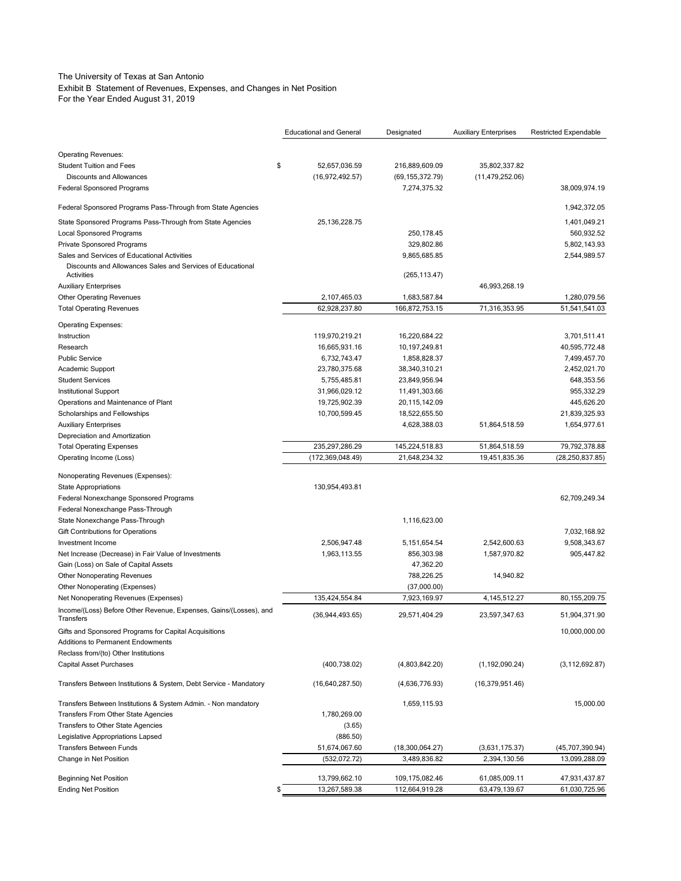### The University of Texas at San Antonio

Exhibit B Statement of Revenues, Expenses, and Changes in Net Position

For the Year Ended August 31, 2019

|                                                                                | <b>Educational and General</b> | Designated        | <b>Auxiliary Enterprises</b> | <b>Restricted Expendable</b> |
|--------------------------------------------------------------------------------|--------------------------------|-------------------|------------------------------|------------------------------|
|                                                                                |                                |                   |                              |                              |
| <b>Operating Revenues:</b>                                                     |                                |                   |                              |                              |
| <b>Student Tuition and Fees</b>                                                | \$<br>52,657,036.59            | 216,889,609.09    | 35,802,337.82                |                              |
| <b>Discounts and Allowances</b>                                                | (16,972,492.57)                | (69, 155, 372.79) | (11, 479, 252.06)            |                              |
| <b>Federal Sponsored Programs</b>                                              |                                | 7,274,375.32      |                              | 38,009,974.19                |
| Federal Sponsored Programs Pass-Through from State Agencies                    |                                |                   |                              | 1,942,372.05                 |
| State Sponsored Programs Pass-Through from State Agencies                      | 25, 136, 228. 75               |                   |                              | 1,401,049.21                 |
| <b>Local Sponsored Programs</b>                                                |                                | 250,178.45        |                              | 560,932.52                   |
| Private Sponsored Programs                                                     |                                | 329,802.86        |                              | 5,802,143.93                 |
| Sales and Services of Educational Activities                                   |                                | 9,865,685.85      |                              | 2,544,989.57                 |
| Discounts and Allowances Sales and Services of Educational<br>Activities       |                                | (265, 113.47)     |                              |                              |
| <b>Auxiliary Enterprises</b>                                                   |                                |                   | 46,993,268.19                |                              |
| <b>Other Operating Revenues</b>                                                | 2,107,465.03                   | 1,683,587.84      |                              | 1,280,079.56                 |
| <b>Total Operating Revenues</b>                                                | 62,928,237.80                  | 166,872,753.15    | 71,316,353.95                | 51,541,541.03                |
| <b>Operating Expenses:</b>                                                     |                                |                   |                              |                              |
| Instruction                                                                    | 119,970,219.21                 | 16,220,684.22     |                              | 3,701,511.41                 |
| Research                                                                       | 16,665,931.16                  | 10,197,249.81     |                              | 40,595,772.48                |
| <b>Public Service</b>                                                          | 6,732,743.47                   | 1,858,828.37      |                              | 7,499,457.70                 |
| Academic Support                                                               | 23,780,375.68                  | 38,340,310.21     |                              | 2,452,021.70                 |
| <b>Student Services</b>                                                        | 5,755,485.81                   | 23,849,956.94     |                              | 648,353.56                   |
| <b>Institutional Support</b>                                                   | 31,966,029.12                  | 11,491,303.66     |                              | 955,332.29                   |
| Operations and Maintenance of Plant                                            | 19,725,902.39                  | 20,115,142.09     |                              | 445,626.20                   |
| Scholarships and Fellowships                                                   | 10,700,599.45                  | 18,522,655.50     |                              | 21,839,325.93                |
| <b>Auxiliary Enterprises</b>                                                   |                                | 4,628,388.03      | 51,864,518.59                | 1,654,977.61                 |
|                                                                                |                                |                   |                              |                              |
| Depreciation and Amortization                                                  |                                |                   |                              | 79.792.378.88                |
| <b>Total Operating Expenses</b>                                                | 235,297,286.29                 | 145,224,518.83    | 51,864,518.59                |                              |
| Operating Income (Loss)                                                        | (172, 369, 048.49)             | 21,648,234.32     | 19,451,835.36                | (28, 250, 837.85)            |
| Nonoperating Revenues (Expenses):                                              |                                |                   |                              |                              |
| <b>State Appropriations</b>                                                    | 130,954,493.81                 |                   |                              |                              |
| Federal Nonexchange Sponsored Programs                                         |                                |                   |                              | 62,709,249.34                |
| Federal Nonexchange Pass-Through                                               |                                |                   |                              |                              |
| State Nonexchange Pass-Through                                                 |                                | 1,116,623.00      |                              |                              |
| Gift Contributions for Operations                                              |                                |                   |                              | 7,032,168.92                 |
| Investment Income                                                              | 2,506,947.48                   | 5, 151, 654.54    | 2,542,600.63                 | 9,508,343.67                 |
| Net Increase (Decrease) in Fair Value of Investments                           | 1,963,113.55                   | 856,303.98        | 1,587,970.82                 | 905,447.82                   |
| Gain (Loss) on Sale of Capital Assets                                          |                                | 47,362.20         |                              |                              |
| <b>Other Nonoperating Revenues</b>                                             |                                | 788,226.25        | 14,940.82                    |                              |
| Other Nonoperating (Expenses)                                                  |                                | (37,000.00)       |                              |                              |
| Net Nonoperating Revenues (Expenses)                                           | 135,424,554.84                 | 7,923,169.97      | 4, 145, 512. 27              | 80, 155, 209. 75             |
| Income/(Loss) Before Other Revenue, Expenses, Gains/(Losses), and<br>Transfers | (36,944,493.65)                | 29,571,404.29     | 23,597,347.63                | 51,904,371.90                |
| Gifts and Sponsored Programs for Capital Acquisitions                          |                                |                   |                              | 10,000,000.00                |
| <b>Additions to Permanent Endowments</b>                                       |                                |                   |                              |                              |
|                                                                                |                                |                   |                              |                              |
| Reclass from/(to) Other Institutions                                           |                                |                   |                              |                              |
| Capital Asset Purchases                                                        | (400, 738.02)                  | (4,803,842.20)    | (1, 192, 090.24)             | (3, 112, 692.87)             |
| Transfers Between Institutions & System, Debt Service - Mandatory              | (16,640,287.50)                | (4,636,776.93)    | (16,379,951.46)              |                              |
| Transfers Between Institutions & System Admin. - Non mandatory                 |                                | 1,659,115.93      |                              | 15,000.00                    |
| Transfers From Other State Agencies                                            | 1,780,269.00                   |                   |                              |                              |
| Transfers to Other State Agencies                                              | (3.65)                         |                   |                              |                              |
| Legislative Appropriations Lapsed                                              | (886.50)                       |                   |                              |                              |
| <b>Transfers Between Funds</b>                                                 | 51,674,067.60                  | (18,300,064.27)   | (3,631,175.37)               | (45,707,390.94)              |
| Change in Net Position                                                         | (532, 072.72)                  | 3,489,836.82      | 2,394,130.56                 | 13,099,288.09                |
|                                                                                |                                |                   |                              |                              |
| <b>Beginning Net Position</b>                                                  | 13,799,662.10                  | 109,175,082.46    | 61,085,009.11                | 47,931,437.87                |
| <b>Ending Net Position</b>                                                     | \$<br>13,267,589.38            | 112,664,919.28    | 63,479,139.67                | 61,030,725.96                |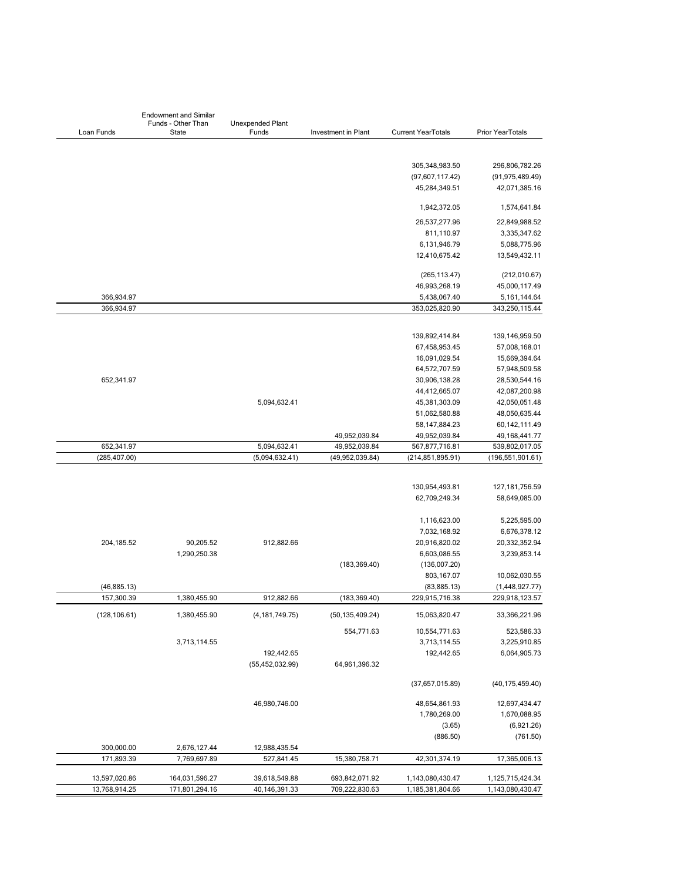| <b>Endowment and Similar</b> |                             |                                  |                     |                           |                    |  |  |
|------------------------------|-----------------------------|----------------------------------|---------------------|---------------------------|--------------------|--|--|
| Loan Funds                   | Funds - Other Than<br>State | <b>Unexpended Plant</b><br>Funds | Investment in Plant | <b>Current YearTotals</b> | Prior YearTotals   |  |  |
|                              |                             |                                  |                     |                           |                    |  |  |
|                              |                             |                                  |                     | 305,348,983.50            | 296,806,782.26     |  |  |
|                              |                             |                                  |                     | (97,607,117.42)           | (91, 975, 489.49)  |  |  |
|                              |                             |                                  |                     | 45,284,349.51             | 42,071,385.16      |  |  |
|                              |                             |                                  |                     | 1,942,372.05              | 1,574,641.84       |  |  |
|                              |                             |                                  |                     | 26,537,277.96             | 22,849,988.52      |  |  |
|                              |                             |                                  |                     | 811,110.97                | 3,335,347.62       |  |  |
|                              |                             |                                  |                     | 6,131,946.79              | 5,088,775.96       |  |  |
|                              |                             |                                  |                     | 12,410,675.42             | 13,549,432.11      |  |  |
|                              |                             |                                  |                     | (265, 113.47)             | (212,010.67)       |  |  |
|                              |                             |                                  |                     | 46,993,268.19             | 45,000,117.49      |  |  |
| 366,934.97                   |                             |                                  |                     | 5,438,067.40              | 5, 161, 144. 64    |  |  |
| 366,934.97                   |                             |                                  |                     | 353,025,820.90            | 343,250,115.44     |  |  |
|                              |                             |                                  |                     |                           |                    |  |  |
|                              |                             |                                  |                     | 139,892,414.84            | 139, 146, 959.50   |  |  |
|                              |                             |                                  |                     | 67,458,953.45             | 57,008,168.01      |  |  |
|                              |                             |                                  |                     | 16,091,029.54             | 15,669,394.64      |  |  |
|                              |                             |                                  |                     | 64,572,707.59             | 57,948,509.58      |  |  |
| 652,341.97                   |                             |                                  |                     | 30,906,138.28             | 28,530,544.16      |  |  |
|                              |                             |                                  |                     | 44,412,665.07             | 42,087,200.98      |  |  |
|                              |                             | 5,094,632.41                     |                     | 45,381,303.09             | 42,050,051.48      |  |  |
|                              |                             |                                  |                     | 51,062,580.88             | 48,050,635.44      |  |  |
|                              |                             |                                  |                     | 58, 147, 884. 23          | 60,142,111.49      |  |  |
|                              |                             |                                  | 49,952,039.84       | 49,952,039.84             | 49, 168, 441. 77   |  |  |
| 652,341.97                   |                             | 5,094,632.41                     | 49,952,039.84       | 567,877,716.81            | 539,802,017.05     |  |  |
| (285, 407.00)                |                             | (5,094,632.41)                   | (49,952,039.84)     | (214,851,895.91)          | (196, 551, 901.61) |  |  |
|                              |                             |                                  |                     |                           |                    |  |  |
|                              |                             |                                  |                     | 130,954,493.81            | 127, 181, 756.59   |  |  |
|                              |                             |                                  |                     | 62,709,249.34             | 58,649,085.00      |  |  |
|                              |                             |                                  |                     | 1,116,623.00              | 5,225,595.00       |  |  |
|                              |                             |                                  |                     | 7,032,168.92              | 6,676,378.12       |  |  |
| 204,185.52                   | 90,205.52                   | 912,882.66                       |                     | 20,916,820.02             | 20,332,352.94      |  |  |
|                              | 1,290,250.38                |                                  |                     | 6,603,086.55              | 3,239,853.14       |  |  |
|                              |                             |                                  | (183, 369.40)       | (136,007.20)              |                    |  |  |
|                              |                             |                                  |                     | 803,167.07                | 10,062,030.55      |  |  |
| (46, 885.13)                 |                             |                                  |                     | (83, 885.13)              | (1,448,927.77)     |  |  |
| 157,300.39                   | 1,380,455.90                | 912,882.66                       | (183, 369.40)       | 229,915,716.38            | 229,918,123.57     |  |  |
| (128, 106.61)                | 1,380,455.90                | (4, 181, 749.75)                 | (50, 135, 409.24)   | 15,063,820.47             | 33,366,221.96      |  |  |
|                              |                             |                                  | 554,771.63          | 10,554,771.63             | 523,586.33         |  |  |
|                              | 3,713,114.55                |                                  |                     | 3,713,114.55              | 3,225,910.85       |  |  |
|                              |                             | 192,442.65                       |                     | 192,442.65                | 6,064,905.73       |  |  |
|                              |                             | (55, 452, 032.99)                | 64,961,396.32       |                           |                    |  |  |
|                              |                             |                                  |                     | (37,657,015.89)           | (40, 175, 459.40)  |  |  |
|                              |                             | 46,980,746.00                    |                     | 48,654,861.93             | 12,697,434.47      |  |  |
|                              |                             |                                  |                     | 1,780,269.00              | 1,670,088.95       |  |  |
|                              |                             |                                  |                     | (3.65)                    | (6,921.26)         |  |  |
|                              |                             |                                  |                     | (886.50)                  | (761.50)           |  |  |
| 300,000.00                   | 2,676,127.44                | 12,988,435.54                    |                     |                           |                    |  |  |
| 171,893.39                   | 7,769,697.89                | 527,841.45                       | 15,380,758.71       | 42,301,374.19             | 17,365,006.13      |  |  |
| 13,597,020.86                | 164,031,596.27              | 39,618,549.88                    | 693,842,071.92      | 1,143,080,430.47          | 1,125,715,424.34   |  |  |
| 13,768,914.25                | 171,801,294.16              | 40,146,391.33                    | 709,222,830.63      | 1,185,381,804.66          | 1,143,080,430.47   |  |  |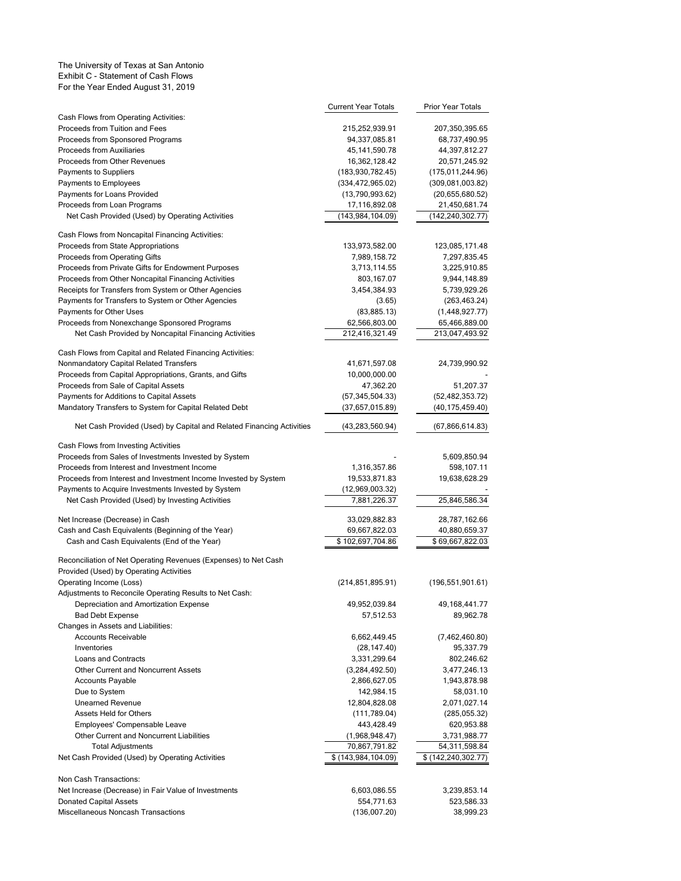#### The University of Texas at San Antonio Exhibit C - Statement of Cash Flows For the Year Ended August 31, 2019

|                                                                                    | Current Year Totals | Prior Year Totals     |
|------------------------------------------------------------------------------------|---------------------|-----------------------|
| Cash Flows from Operating Activities:                                              |                     |                       |
| Proceeds from Tuition and Fees                                                     | 215,252,939.91      | 207,350,395.65        |
| Proceeds from Sponsored Programs                                                   | 94,337,085.81       | 68,737,490.95         |
| Proceeds from Auxiliaries                                                          | 45, 141, 590. 78    | 44,397,812.27         |
| Proceeds from Other Revenues                                                       | 16,362,128.42       | 20,571,245.92         |
| Payments to Suppliers                                                              | (183,930,782.45)    | (175, 011, 244.96)    |
| Payments to Employees                                                              | (334, 472, 965.02)  | (309,081,003.82)      |
| Payments for Loans Provided                                                        | (13,790,993.62)     | (20,655,680.52)       |
| Proceeds from Loan Programs                                                        | 17,116,892.08       | 21,450,681.74         |
| Net Cash Provided (Used) by Operating Activities                                   | (143,984,104.09)    | (142, 240, 302.77)    |
| Cash Flows from Noncapital Financing Activities:                                   |                     |                       |
| Proceeds from State Appropriations                                                 | 133,973,582.00      | 123,085,171.48        |
| Proceeds from Operating Gifts                                                      | 7,989,158.72        | 7,297,835.45          |
| Proceeds from Private Gifts for Endowment Purposes                                 | 3,713,114.55        | 3,225,910.85          |
| Proceeds from Other Noncapital Financing Activities                                | 803,167.07          | 9,944,148.89          |
| Receipts for Transfers from System or Other Agencies                               | 3,454,384.93        | 5,739,929.26          |
| Payments for Transfers to System or Other Agencies                                 | (3.65)              | (263, 463.24)         |
| Payments for Other Uses                                                            | (83,885.13)         | (1,448,927.77)        |
| Proceeds from Nonexchange Sponsored Programs                                       | 62,566,803.00       | 65,466,889.00         |
| Net Cash Provided by Noncapital Financing Activities                               | 212,416,321.49      | 213,047,493.92        |
| Cash Flows from Capital and Related Financing Activities:                          |                     |                       |
| Nonmandatory Capital Related Transfers                                             | 41,671,597.08       | 24,739,990.92         |
| Proceeds from Capital Appropriations, Grants, and Gifts                            | 10,000,000.00       |                       |
| Proceeds from Sale of Capital Assets                                               | 47,362.20           | 51,207.37             |
| Payments for Additions to Capital Assets                                           | (57, 345, 504.33)   | (52, 482, 353.72)     |
| Mandatory Transfers to System for Capital Related Debt                             | (37,657,015.89)     | (40, 175, 459.40)     |
|                                                                                    |                     |                       |
| Net Cash Provided (Used) by Capital and Related Financing Activities               | (43, 283, 560.94)   | (67,866,614.83)       |
| Cash Flows from Investing Activities                                               |                     |                       |
| Proceeds from Sales of Investments Invested by System                              |                     | 5,609,850.94          |
| Proceeds from Interest and Investment Income                                       | 1,316,357.86        | 598,107.11            |
| Proceeds from Interest and Investment Income Invested by System                    | 19,533,871.83       | 19,638,628.29         |
| Payments to Acquire Investments Invested by System                                 | (12,969,003.32)     |                       |
| Net Cash Provided (Used) by Investing Activities                                   | 7,881,226.37        | 25,846,586.34         |
| Net Increase (Decrease) in Cash                                                    | 33,029,882.83       | 28,787,162.66         |
| Cash and Cash Equivalents (Beginning of the Year)                                  | 69,667,822.03       | 40,880,659.37         |
| Cash and Cash Equivalents (End of the Year)                                        | \$102,697,704.86    | \$69,667,822.03       |
|                                                                                    |                     |                       |
| Reconciliation of Net Operating Revenues (Expenses) to Net Cash                    |                     |                       |
| Provided (Used) by Operating Activities                                            | (214, 851, 895.91)  | (196, 551, 901.61)    |
| Operating Income (Loss)<br>Adjustments to Reconcile Operating Results to Net Cash: |                     |                       |
| Depreciation and Amortization Expense                                              | 49,952,039.84       | 49,168,441.77         |
| <b>Bad Debt Expense</b>                                                            | 57,512.53           | 89,962.78             |
| Changes in Assets and Liabilities:                                                 |                     |                       |
| <b>Accounts Receivable</b>                                                         | 6,662,449.45        | (7,462,460.80)        |
| Inventories                                                                        | (28, 147.40)        | 95,337.79             |
| Loans and Contracts                                                                | 3,331,299.64        | 802,246.62            |
| Other Current and Noncurrent Assets                                                | (3,284,492.50)      | 3,477,246.13          |
| Accounts Payable                                                                   | 2,866,627.05        | 1,943,878.98          |
| Due to System                                                                      | 142,984.15          | 58,031.10             |
| <b>Unearned Revenue</b>                                                            | 12,804,828.08       | 2,071,027.14          |
| <b>Assets Held for Others</b>                                                      | (111,789.04)        | (285,055.32)          |
| Employees' Compensable Leave                                                       | 443,428.49          | 620,953.88            |
| Other Current and Noncurrent Liabilities                                           | (1,968,948.47)      | 3,731,988.77          |
| <b>Total Adjustments</b>                                                           | 70,867,791.82       | 54,311,598.84         |
| Net Cash Provided (Used) by Operating Activities                                   | \$(143,984,104.09)  | \$ (142, 240, 302.77) |
|                                                                                    |                     |                       |
| Non Cash Transactions:                                                             |                     |                       |
| Net Increase (Decrease) in Fair Value of Investments                               | 6,603,086.55        | 3,239,853.14          |
| <b>Donated Capital Assets</b>                                                      | 554,771.63          | 523,586.33            |
| Miscellaneous Noncash Transactions                                                 | (136,007.20)        | 38,999.23             |